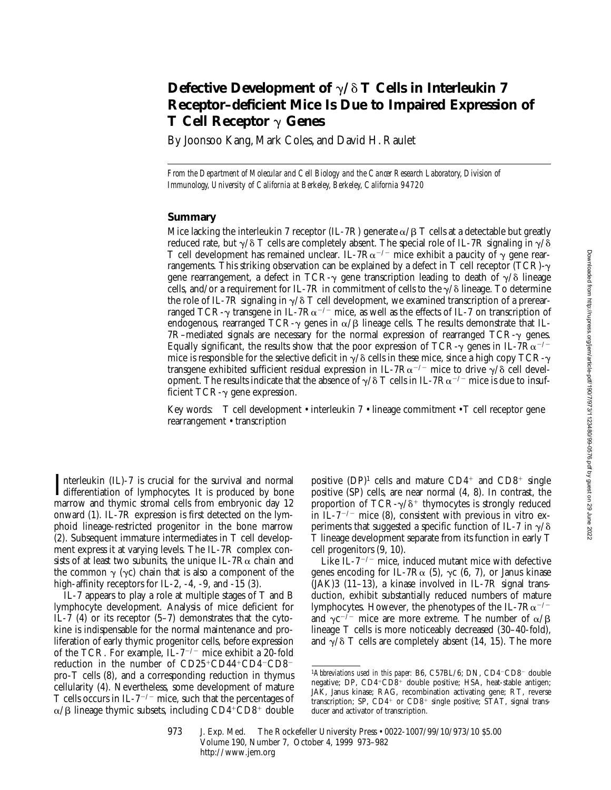# **Defective Development of**  $\gamma/\delta$  **T Cells in Interleukin 7 Receptor–deficient Mice Is Due to Impaired Expression of T Cell Receptor** g **Genes**

By Joonsoo Kang, Mark Coles, and David H. Raulet

*From the Department of Molecular and Cell Biology and the Cancer Research Laboratory, Division of Immunology, University of California at Berkeley, Berkeley, California 94720*

### **Summary**

Mice lacking the interleukin 7 receptor (IL-7R) generate  $\alpha/\beta$  T cells at a detectable but greatly reduced rate, but  $\gamma/\delta$  T cells are completely absent. The special role of IL-7R signaling in  $\gamma/\delta$ T cell development has remained unclear. IL-7R $\alpha^{-/-}$  mice exhibit a paucity of  $\gamma$  gene rearrangements. This striking observation can be explained by a defect in T cell receptor (TCR)- $\gamma$ gene rearrangement, a defect in TCR- $\gamma$  gene transcription leading to death of  $\gamma/\delta$  lineage cells, and/or a requirement for IL-7R in commitment of cells to the  $\gamma/\delta$  lineage. To determine the role of IL-7R signaling in  $\gamma/\delta$  T cell development, we examined transcription of a prerearranged TCR- $\gamma$  transgene in IL-7R $\alpha^{-/-}$  mice, as well as the effects of IL-7 on transcription of endogenous, rearranged TCR- $\gamma$  genes in  $\alpha/\beta$  lineage cells. The results demonstrate that IL- $7R$ –mediated signals are necessary for the normal expression of rearranged  $TCR-\gamma$  genes. Equally significant, the results show that the poor expression of TCR- $\gamma$  genes in IL-7R $\alpha$ <sup>-/-</sup> mice is responsible for the selective deficit in  $\gamma/\delta$  cells in these mice, since a high copy TCR- $\gamma$ transgene exhibited sufficient residual expression in IL-7R $\alpha$ <sup>-/-</sup> mice to drive  $\gamma/\delta$  cell development. The results indicate that the absence of  $\gamma/\delta$  T cells in IL-7R $\alpha^{-/-}$  mice is due to insufficient  $TCR-\gamma$  gene expression.

Key words: T cell development • interleukin 7 • lineage commitment • T cell receptor gene rearrangement • transcription

Interleukin (IL)-7 is crucial for the survival and normal<br>differentiation of lymphocytes. It is produced by bone differentiation of lymphocytes. It is produced by bone marrow and thymic stromal cells from embryonic day 12 onward (1). IL-7R expression is first detected on the lymphoid lineage-restricted progenitor in the bone marrow (2). Subsequent immature intermediates in T cell development express it at varying levels. The IL-7R complex consists of at least two subunits, the unique IL-7R $\alpha$  chain and the common  $\gamma$  ( $\gamma c$ ) chain that is also a component of the high-affinity receptors for IL-2,  $-4$ ,  $-9$ , and  $-15$  (3).

IL-7 appears to play a role at multiple stages of T and B lymphocyte development. Analysis of mice deficient for IL-7 (4) or its receptor (5–7) demonstrates that the cytokine is indispensable for the normal maintenance and proliferation of early thymic progenitor cells, before expression of the TCR. For example,  $IL-7^{-/-}$  mice exhibit a 20-fold reduction in the number of CD25+CD44+CD4-CD8pro-T cells (8), and a corresponding reduction in thymus cellularity (4). Nevertheless, some development of mature T cells occurs in IL- $7^{-/-}$  mice, such that the percentages of  $\alpha/\beta$  lineage thymic subsets, including CD4+CD8+ double positive  $(DP)^1$  cells and mature  $CD4^+$  and  $CD8^+$  single positive (SP) cells, are near normal (4, 8). In contrast, the proportion of  $TCR-\gamma/\delta^+$  thymocytes is strongly reduced in IL-7<sup> $-/-$ </sup> mice (8), consistent with previous in vitro experiments that suggested a specific function of IL-7 in  $\gamma/\delta$ T lineage development separate from its function in early T cell progenitors (9, 10).

Like IL- $7^{-/-}$  mice, induced mutant mice with defective genes encoding for IL-7R $\alpha$  (5),  $\gamma c$  (6, 7), or Janus kinase (JAK)3 (11–13), a kinase involved in IL-7R signal transduction, exhibit substantially reduced numbers of mature lymphocytes. However, the phenotypes of the IL-7 $Ra^{-/-}$ and  $\gamma c^{-1}$  mice are more extreme. The number of  $\alpha/B$ lineage T cells is more noticeably decreased (30–40-fold), and  $\sqrt{\delta}$  T cells are completely absent (14, 15). The more

<sup>&</sup>lt;sup>1</sup>Abbreviations used in this paper: B6, C57BL/6; DN, CD4<sup>-</sup>CD8<sup>-</sup> double negative; DP, CD4+CD8+ double positive; HSA, heat-stable antigen; JAK, Janus kinase; RAG, recombination activating gene; RT, reverse transcription; SP,  $CD4^+$  or  $CD8^+$  single positive; STAT, signal transducer and activator of transcription.

<sup>973</sup> J. Exp. Med. © The Rockefeller University Press • 0022-1007/99/10/973/10 \$5.00 Volume 190, Number 7, October 4, 1999 973–982 http://www.jem.org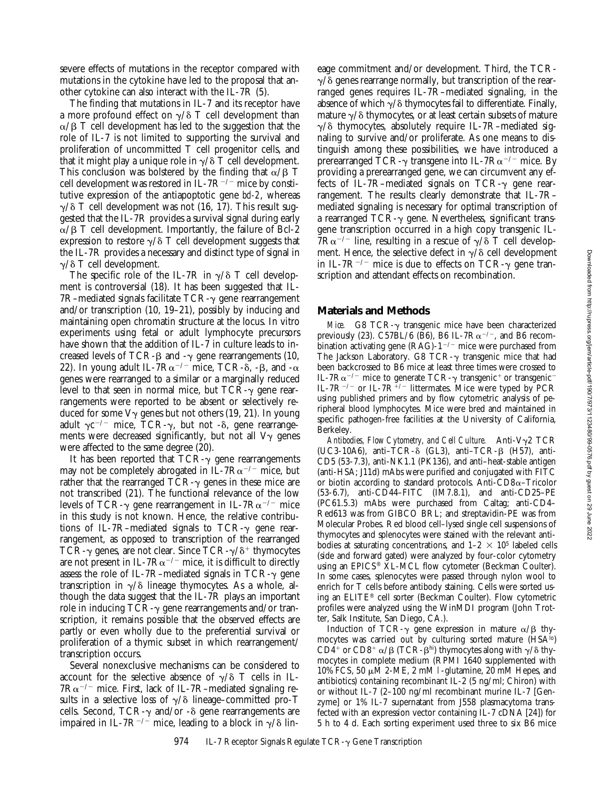severe effects of mutations in the receptor compared with mutations in the cytokine have led to the proposal that another cytokine can also interact with the IL-7R (5).

The finding that mutations in IL-7 and its receptor have a more profound effect on  $\gamma/\delta$  T cell development than  $\alpha$ /B T cell development has led to the suggestion that the role of IL-7 is not limited to supporting the survival and proliferation of uncommitted T cell progenitor cells, and that it might play a unique role in  $\gamma/\delta$  T cell development. This conclusion was bolstered by the finding that  $\alpha/\beta$  T cell development was restored in IL-7 $R^{-/-}$  mice by constitutive expression of the antiapoptotic gene *bcl-2*, whereas  $\gamma/\delta$  T cell development was not (16, 17). This result suggested that the IL-7R provides a survival signal during early  $\alpha/\beta$  T cell development. Importantly, the failure of Bcl-2 expression to restore  $\gamma/\delta$  T cell development suggests that the IL-7R provides a necessary and distinct type of signal in  $\gamma/\delta$  T cell development.

The specific role of the IL-7R in  $\gamma/\delta$  T cell development is controversial (18). It has been suggested that IL-7R–mediated signals facilitate  $TCR-\gamma$  gene rearrangement and/or transcription (10, 19–21), possibly by inducing and maintaining open chromatin structure at the locus. In vitro experiments using fetal or adult lymphocyte precursors have shown that the addition of IL-7 in culture leads to increased levels of TCR- $\beta$  and - $\gamma$  gene rearrangements (10, 22). In young adult IL-7 $R\alpha^{-/-}$  mice, TCR- $\delta$ , - $\beta$ , and - $\alpha$ genes were rearranged to a similar or a marginally reduced level to that seen in normal mice, but  $TCR-\gamma$  gene rearrangements were reported to be absent or selectively reduced for some  $V_{\gamma}$  genes but not others (19, 21). In young adult  $\gamma c^{-/-}$  mice, TCR- $\gamma$ , but not - $\delta$ , gene rearrangements were decreased significantly, but not all  $V\gamma$  genes were affected to the same degree (20).

It has been reported that  $TCR-\gamma$  gene rearrangements may not be completely abrogated in IL-7 $R\alpha^{-/-}$  mice, but rather that the rearranged  $TCR-\gamma$  genes in these mice are not transcribed (21). The functional relevance of the low levels of TCR- $\gamma$  gene rearrangement in IL-7R $\alpha^{-/-}$  mice in this study is not known. Hence, the relative contributions of IL-7R-mediated signals to  $TCR-\gamma$  gene rearrangement, as opposed to transcription of the rearranged TCR- $\gamma$  genes, are not clear. Since TCR- $\gamma/\delta^+$  thymocytes are not present in IL-7 $R\alpha^{-/-}$  mice, it is difficult to directly assess the role of IL-7R–mediated signals in TCR- $\gamma$  gene transcription in  $\gamma/\delta$  lineage thymocytes. As a whole, although the data suggest that the IL-7R plays an important role in inducing TCR- $\gamma$  gene rearrangements and/or transcription, it remains possible that the observed effects are partly or even wholly due to the preferential survival or proliferation of a thymic subset in which rearrangement/ transcription occurs.

Several nonexclusive mechanisms can be considered to account for the selective absence of  $\gamma/\delta$  T cells in IL- $7R\alpha^{-/-}$  mice. First, lack of IL-7R–mediated signaling results in a selective loss of  $\gamma/\delta$  lineage–committed pro-T cells. Second, TCR- $\gamma$  and/or - $\delta$  gene rearrangements are impaired in IL-7R<sup>-/-</sup> mice, leading to a block in  $\gamma/\delta$  lineage commitment and/or development. Third, the TCR- $\gamma/\delta$  genes rearrange normally, but transcription of the rearranged genes requires IL-7R–mediated signaling, in the absence of which  $\gamma/\delta$  thymocytes fail to differentiate. Finally, mature  $\gamma/\delta$  thymocytes, or at least certain subsets of mature  $\gamma/\delta$  thymocytes, absolutely require IL-7R–mediated signaling to survive and/or proliferate. As one means to distinguish among these possibilities, we have introduced a prerearranged TCR- $\gamma$  transgene into IL-7R $\alpha^{-/-}$  mice. By providing a prerearranged gene, we can circumvent any effects of IL-7R-mediated signals on TCR- $\gamma$  gene rearrangement. The results clearly demonstrate that IL-7R– mediated signaling is necessary for optimal transcription of a rearranged  $TCR-\gamma$  gene. Nevertheless, significant transgene transcription occurred in a high copy transgenic IL- $7R\alpha^{-/-}$  line, resulting in a rescue of  $\gamma/\delta$  T cell development. Hence, the selective defect in  $\gamma/\delta$  cell development in IL-7R<sup>-/-</sup> mice is due to effects on TCR- $\gamma$  gene transcription and attendant effects on recombination.

### **Materials and Methods**

*Mice.* G8 TCR- $\gamma$  transgenic mice have been characterized previously (23). C57BL/6 (B6), B6 IL-7 $R\alpha^{-/-}$ , and B6 recombination activating gene (RAG)- $1^{-/-}$  mice were purchased from The Jackson Laboratory. G8 TCR- $\gamma$  transgenic mice that had been backcrossed to B6 mice at least three times were crossed to IL-7 $R\alpha^{-/-}$  mice to generate TCR- $\gamma$  transgenic<sup>+</sup> or transgenic<sup>-</sup> IL-7R<sup>-/-</sup> or IL-7R<sup> $\frac{1}{7}$ /- littermates. Mice were typed by PCR</sup> using published primers and by flow cytometric analysis of peripheral blood lymphocytes. Mice were bred and maintained in specific pathogen-free facilities at the University of California, Berkeley.

Antibodies, Flow Cytometry, and Cell Culture. Anti-V<sub>y</sub>2 TCR (UC3-10A6), anti-TCR- $\delta$  (GL3), anti-TCR- $\beta$  (H57), anti-CD5 (53-7.3), anti-NK1.1 (PK136), and anti–heat-stable antigen (anti-HSA; J11d) mAbs were purified and conjugated with FITC or biotin according to standard protocols. Anti-CD8a–Tricolor (53-6.7), anti-CD44–FITC (IM7.8.1), and anti-CD25–PE (PC61.5.3) mAbs were purchased from Caltag; anti-CD4– Red613 was from GIBCO BRL; and streptavidin-PE was from Molecular Probes. Red blood cell–lysed single cell suspensions of thymocytes and splenocytes were stained with the relevant antibodies at saturating concentrations, and  $1-2 \times 10^5$  labeled cells (side and forward gated) were analyzed by four-color cytometry using an EPICS® XL-MCL flow cytometer (Beckman Coulter). In some cases, splenocytes were passed through nylon wool to enrich for T cells before antibody staining. Cells were sorted using an ELITE® cell sorter (Beckman Coulter). Flow cytometric profiles were analyzed using the WinMDI program (John Trotter, Salk Institute, San Diego, CA.).

Induction of TCR- $\gamma$  gene expression in mature  $\alpha/\beta$  thymocytes was carried out by culturing sorted mature (HSA<sup>lo</sup>) CD4<sup>+</sup> or CD8<sup>+</sup>  $\alpha$ / $\beta$  (TCR- $\beta$ <sup>hi</sup>) thymocytes along with  $\gamma$ / $\delta$  thymocytes in complete medium (RPMI 1640 supplemented with 10% FCS, 50  $\mu$ M 2-ME, 2 mM 1-glutamine, 20 mM Hepes, and antibiotics) containing recombinant IL-2 (5 ng/ml; Chiron) with or without IL-7 (2–100 ng/ml recombinant murine IL-7 [Genzyme] or 1% IL-7 supernatant from J558 plasmacytoma transfected with an expression vector containing IL-7 cDNA [24]) for 5 h to 4 d. Each sorting experiment used three to six B6 mice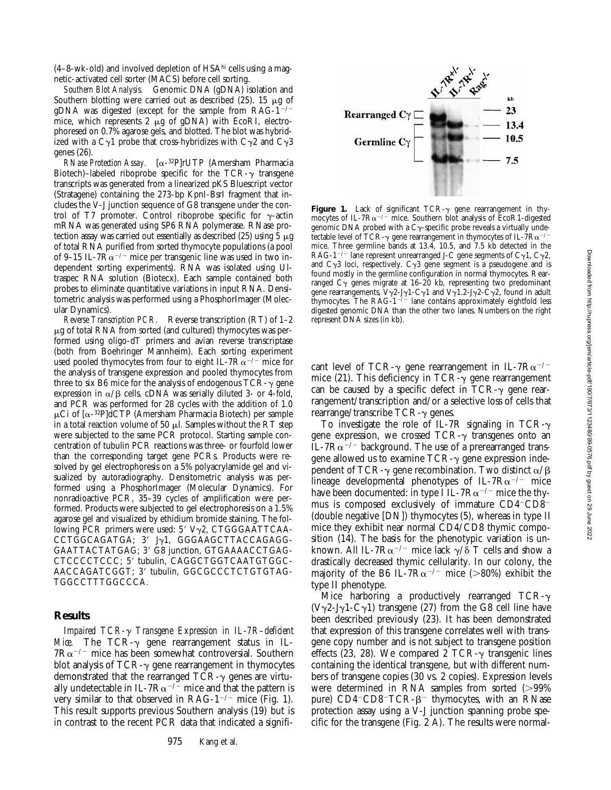$(4-8-wk-old)$  and involved depletion of HSA $^{\text{hi}}$  cells using a magnetic-activated cell sorter (MACS) before cell sorting.

*Southern Blot Analysis.* Genomic DNA (gDNA) isolation and Southern blotting were carried out as described  $(25)$ . 15  $\mu$ g of gDNA was digested (except for the sample from RAG-1<sup>-/-</sup> mice, which represents 2 µg of gDNA) with EcoRI, electrophoresed on 0.7% agarose gels, and blotted. The blot was hybridized with a C $\gamma$ 1 probe that cross-hybridizes with C $\gamma$ 2 and C $\gamma$ 3 genes (26).

*RNase Protection Assay.* [a-32P]rUTP (Amersham Pharmacia Biotech)–labeled riboprobe specific for the  $TCR-\gamma$  transgene transcripts was generated from a linearized pKS Bluescript vector (Stratagene) containing the 273-bp KpnI-BsrI fragment that includes the V-J junction sequence of G8 transgene under the control of T7 promoter. Control riboprobe specific for  $\gamma$ -actin mRNA was generated using SP6 RNA polymerase. RNase protection assay was carried out essentially as described (25) using 5  $\mu$ g of total RNA purified from sorted thymocyte populations (a pool of 9–15 IL-7 $R\alpha$ <sup>-/-</sup> mice per transgenic line was used in two independent sorting experiments). RNA was isolated using Ultraspec RNA solution (Biotecx). Each sample contained both probes to eliminate quantitative variations in input RNA. Densitometric analysis was performed using a PhosphorImager (Molecular Dynamics).

*Reverse Transcription PCR.* Reverse transcription (RT) of 1–2  $\mu$ g of total RNA from sorted (and cultured) thymocytes was performed using oligo-dT primers and avian reverse transcriptase (both from Boehringer Mannheim). Each sorting experiment used pooled thymocytes from four to eight IL-7 $R\alpha^{-/-}$  mice for the analysis of transgene expression and pooled thymocytes from three to six B6 mice for the analysis of endogenous  $TCR-\gamma$  gene expression in  $\alpha/\beta$  cells. cDNA was serially diluted 3- or 4-fold, and PCR was performed for 28 cycles with the addition of 1.0  $\mu$ Ci of [ $\alpha$ -<sup>32</sup>P]dCTP (Amersham Pharmacia Biotech) per sample in a total reaction volume of 50  $\mu$ l. Samples without the RT step were subjected to the same PCR protocol. Starting sample concentration of tubulin PCR reactions was three- or fourfold lower than the corresponding target gene PCRs. Products were resolved by gel electrophoresis on a 5% polyacrylamide gel and visualized by autoradiography. Densitometric analysis was performed using a PhosphorImager (Molecular Dynamics). For nonradioactive PCR, 35–39 cycles of amplification were performed. Products were subjected to gel electrophoresis on a 1.5% agarose gel and visualized by ethidium bromide staining. The following PCR primers were used:  $5'$  V $\gamma$ 2, CTGGGAATTCAA- $CCTGGCAGATGA$ ; 3' J $\gamma$ 1, GGGAAGCTTACCAGAGG-GAATTACTATGAG; 3' G8 junction, GTGAAAACCTGAG-CTCCCCTCCC; 5' tubulin, CAGGCTGGTCAATGTGGC-AACCAGATCGGT; 3' tubulin, GGCGCCCTCTGTGTAG-TGGCCTTTGGCCCA.

## **Results**

*Impaired TCR-*g *Transgene Expression in IL-7R–deficient Mice.* The TCR- $\gamma$  gene rearrangement status in IL- $7R\alpha^{-/-}$  mice has been somewhat controversial. Southern blot analysis of  $TCR-\gamma$  gene rearrangement in thymocytes demonstrated that the rearranged  $TCR-\gamma$  genes are virtually undetectable in IL-7 $R\alpha^{-1}$  mice and that the pattern is very similar to that observed in RAG- $1^{-/-}$  mice (Fig. 1). This result supports previous Southern analysis (19) but is in contrast to the recent PCR data that indicated a signifi-



Figure 1. Lack of significant  $TCR-\gamma$  gene rearrangement in thymocytes of IL-7R $\alpha$ <sup>-/-</sup> mice. Southern blot analysis of EcoR1-digested genomic DNA probed with a C $\gamma$ -specific probe reveals a virtually undetectable level of TCR- $\gamma$  gene rearrangement in thymocytes of IL-7R $\alpha^{-/2}$ mice. Three germline bands at 13.4, 10.5, and 7.5 kb detected in the RAG-1<sup>-/-</sup> lane represent unrearranged J-C gene segments of C<sub>2</sub>1, C<sub>2</sub>2, and  $C_{\gamma}$ 3 loci, respectively.  $C_{\gamma}$ 3 gene segment is a pseudogene and is found mostly in the germline configuration in normal thymocytes. Rearranged  $C_{\gamma}$  genes migrate at 16–20 kb, representing two predominant gene rearrangements,  $V\gamma$ 2-J $\gamma$ 1-C $\gamma$ 1 and V $\gamma$ 1.2-J $\gamma$ 2-C $\gamma$ 2, found in adult thymocytes. The  $RAG-1^{-/-}$  lane contains approximately eightfold less digested genomic DNA than the other two lanes. Numbers on the right represent DNA sizes (in kb).

cant level of TCR- $\gamma$  gene rearrangement in IL-7R $\alpha$ <sup>-/-</sup> mice (21). This deficiency in TCR- $\gamma$  gene rearrangement can be caused by a specific defect in TCR- $\gamma$  gene rearrangement/transcription and/or a selective loss of cells that rearrange/transcribe  $TCR-\gamma$  genes.

To investigate the role of IL-7R signaling in TCR- $\gamma$ gene expression, we crossed  $TCR-\gamma$  transgenes onto an IL-7 $R\alpha$ <sup>-/-</sup> background. The use of a prerearranged transgene allowed us to examine  $TCR-\gamma$  gene expression independent of TCR- $\gamma$  gene recombination. Two distinct  $\alpha/\beta$ lineage developmental phenotypes of IL-7 $R\alpha^{-/-}$  mice have been documented: in type I IL-7 $R\alpha^{-/-}$  mice the thymus is composed exclusively of immature  $CD4-CD8$ <sup>-</sup> (double negative [DN]) thymocytes (5), whereas in type II mice they exhibit near normal CD4/CD8 thymic composition (14). The basis for the phenotypic variation is unknown. All IL-7 $R\alpha^{-/-}$  mice lack  $\gamma/\delta$  T cells and show a drastically decreased thymic cellularity. In our colony, the majority of the B6 IL-7 $Ra^{-/-}$  mice (>80%) exhibit the type II phenotype.

Mice harboring a productively rearranged  $TCR-\gamma$  $(V_2^2$ -J<sub>2</sub>1-C<sub>2</sub>1) transgene (27) from the G8 cell line have been described previously (23). It has been demonstrated that expression of this transgene correlates well with transgene copy number and is not subject to transgene position effects (23, 28). We compared 2 TCR- $\gamma$  transgenic lines containing the identical transgene, but with different numbers of transgene copies (30 vs. 2 copies). Expression levels were determined in RNA samples from sorted  $(>99\%)$ pure)  $CD4$ <sup>-</sup> $CD8$ <sup>-</sup> $TCR$ - $\beta$ <sup>-</sup> thymocytes, with an RNase protection assay using a V-J junction spanning probe specific for the transgene (Fig. 2 A). The results were normal-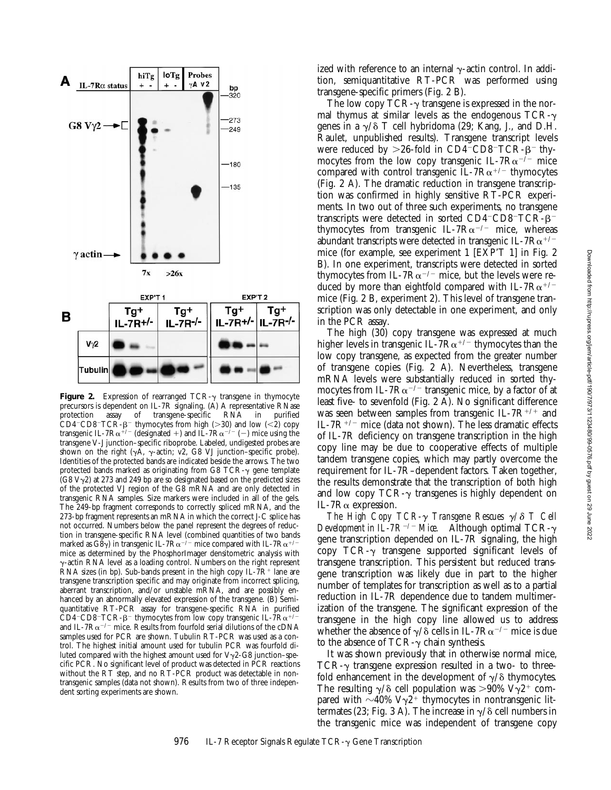

Figure 2. Expression of rearranged TCR- $\gamma$  transgene in thymocyte precursors is dependent on IL-7R signaling. (A) A representative RNase protection assay of transgene-specific RNA in purified assay of transgene-specific RNA in CD4<sup>-</sup>CD8<sup>-</sup>TCR- $\beta$ <sup>-</sup> thymocytes from high (>30) and low (<2) copy transgenic IL-7R $\alpha^{+/-}$  (designated +) and IL-7R $\alpha^{-/-}$  (-) mice using the transgene V-J junction–specific riboprobe. Labeled, undigested probes are shown on the right ( $\gamma A$ ,  $\gamma$ -actin; v2, G8 VJ junction–specific probe). Identities of the protected bands are indicated beside the arrows. The two protected bands marked as originating from G8 TCR- $\gamma$  gene template  $(G8 V<sub>2</sub>)$  at 273 and 249 bp are so designated based on the predicted sizes of the protected VJ region of the G8 mRNA and are only detected in transgenic RNA samples. Size markers were included in all of the gels. The 249-bp fragment corresponds to correctly spliced mRNA, and the 273-bp fragment represents an mRNA in which the correct J-C splice has not occurred. Numbers below the panel represent the degrees of reduction in transgene-specific RNA level (combined quantities of two bands marked as G8 $\gamma$ ) in transgenic IL-7R $\alpha^{-/-}$  mice compared with IL-7R $\alpha^{+/-}$ mice as determined by the PhosphorImager densitometric analysis with  $\gamma$ -actin RNA level as a loading control. Numbers on the right represent RNA sizes (in bp). Sub-bands present in the high copy IL- $7R^+$  lane are transgene transcription specific and may originate from incorrect splicing, aberrant transcription, and/or unstable mRNA, and are possibly enhanced by an abnormally elevated expression of the transgene. (B) Semiquantitative RT-PCR assay for transgene-specific RNA in purified CD4<sup>-</sup>CD8<sup>-</sup>TCR- $\beta$ <sup>-</sup> thymocytes from low copy transgenic IL-7R $\alpha$ <sup>+/</sup> and IL-7 $R\alpha^{-/-}$  mice. Results from fourfold serial dilutions of the cDNA samples used for PCR are shown. Tubulin RT-PCR was used as a control. The highest initial amount used for tubulin PCR was fourfold diluted compared with the highest amount used for  $V\gamma$ 2-G8 junction–specific PCR. No significant level of product was detected in PCR reactions without the RT step, and no RT-PCR product was detectable in nontransgenic samples (data not shown). Results from two of three independent sorting experiments are shown.

The low copy  $TCR-\gamma$  transgene is expressed in the normal thymus at similar levels as the endogenous  $TCR-\gamma$ genes in a  $\gamma/\delta$  T cell hybridoma (29; Kang, J., and D.H. Raulet, unpublished results). Transgene transcript levels were reduced by  $>26$ -fold in CD4<sup>-</sup>CD8<sup>-</sup>TCR- $\beta$ <sup>-</sup> thymocytes from the low copy transgenic IL-7 $Ra^{-/-}$  mice compared with control transgenic  $IL-7R\alpha^{+/-}$  thymocytes (Fig. 2 A). The dramatic reduction in transgene transcription was confirmed in highly sensitive RT-PCR experiments. In two out of three such experiments, no transgene transcripts were detected in sorted  $CD4$ <sup>-</sup>CD8<sup>-</sup>TCR- $\beta$ <sup>-</sup> thymocytes from transgenic IL-7 $Ra^{-/-}$  mice, whereas abundant transcripts were detected in transgenic IL-7 $R\alpha^{+/-}$ mice (for example, see experiment 1 [EXP'T 1] in Fig. 2 B). In one experiment, transcripts were detected in sorted thymocytes from IL-7 $R\alpha^{-/-}$  mice, but the levels were reduced by more than eightfold compared with IL-7 $R\alpha^{+/-}$ mice (Fig. 2 B, experiment 2). This level of transgene transcription was only detectable in one experiment, and only in the PCR assay.

The high (30) copy transgene was expressed at much higher levels in transgenic IL-7 $R\alpha^{+/-}$  thymocytes than the low copy transgene, as expected from the greater number of transgene copies (Fig. 2 A). Nevertheless, transgene mRNA levels were substantially reduced in sorted thymocytes from IL-7 $Ra^{-/-}$  transgenic mice, by a factor of at least five- to sevenfold (Fig. 2 A). No significant difference was seen between samples from transgenic IL-7 $R^{+/+}$  and IL-7 $R^{+/-}$  mice (data not shown). The less dramatic effects of IL-7R deficiency on transgene transcription in the high copy line may be due to cooperative effects of multiple tandem transgene copies, which may partly overcome the requirement for IL-7R–dependent factors. Taken together, the results demonstrate that the transcription of both high and low copy  $TCR-\gamma$  transgenes is highly dependent on IL-7Ra expression.

*The High Copy TCR-* $\gamma$  *Transgene Rescues*  $\gamma/\delta$  *T Cell Development in IL-7R<sup>-/-</sup> Mice.* Although optimal TCR- $\gamma$ gene transcription depended on IL-7R signaling, the high copy  $TCR-\gamma$  transgene supported significant levels of transgene transcription. This persistent but reduced transgene transcription was likely due in part to the higher number of templates for transcription as well as to a partial reduction in IL-7R dependence due to tandem multimerization of the transgene. The significant expression of the transgene in the high copy line allowed us to address whether the absence of  $\gamma/\delta$  cells in IL-7R $\alpha^{-/-}$  mice is due to the absence of  $TCR-\gamma$  chain synthesis.

It was shown previously that in otherwise normal mice, TCR- $\gamma$  transgene expression resulted in a two- to threefold enhancement in the development of  $\gamma/\delta$  thymocytes. The resulting  $\gamma/\delta$  cell population was >90% V $\gamma$ 2<sup>+</sup> compared with  $\sim$ 40% V $\gamma$ 2<sup>+</sup> thymocytes in nontransgenic littermates (23; Fig. 3 A). The increase in  $\gamma/\delta$  cell numbers in the transgenic mice was independent of transgene copy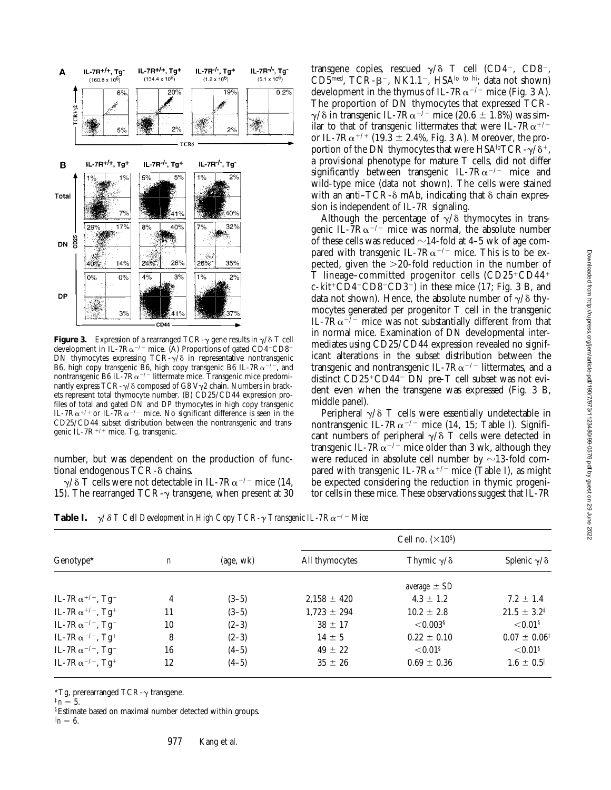

**Figure 3.** Expression of a rearranged TCR- $\gamma$  gene results in  $\gamma/\delta$  T cell development in IL-7 $R\alpha^{-/-}$  mice. (A) Proportions of gated CD4<sup>-</sup>CD8<sup>-</sup> DN thymocytes expressing  $TCR-\gamma/\delta$  in representative nontransgenic B6, high copy transgenic B6, high copy transgenic B6 IL-7 $R\alpha^{-/-}$ , and nontransgenic B6 IL-7 $R\alpha^{-/-}$  littermate mice. Transgenic mice predominantly express  $TCR-\gamma/\delta$  composed of G8 V $\gamma$ 2 chain. Numbers in brackets represent total thymocyte number. (B) CD25/CD44 expression profiles of total and gated DN and DP thymocytes in high copy transgenic IL-7R $\alpha^{+/+}$  or IL-7R $\alpha^{-/-}$  mice. No significant difference is seen in the CD25/CD44 subset distribution between the nontransgenic and transgenic IL-7 $R^{+/+}$  mice. Tg, transgenic.

number, but was dependent on the production of functional endogenous  $TCR-\delta$  chains.

 $\gamma/\delta$  T cells were not detectable in IL-7R $\alpha$ <sup>-/-</sup> mice (14, 15). The rearranged TCR- $\gamma$  transgene, when present at 30 transgene copies, rescued  $\gamma/\delta$  T cell (CD4<sup>-</sup>, CD8<sup>-</sup>, CD5 $^{\text{med}}$ , TCR- $\beta^-$ , NK1.1<sup>-</sup>, HSA<sup>lo to hi</sup>; data not shown) development in the thymus of IL-7 $R\alpha^{-/-}$  mice (Fig. 3 A). The proportion of DN thymocytes that expressed TCR- $\gamma$ / $\delta$  in transgenic IL-7R $\alpha^{-/-}$  mice (20.6  $\pm$  1.8%) was similar to that of transgenic littermates that were IL-7 $R\alpha^{+/-}$ or IL-7R $\alpha^{+/+}$  (19.3  $\pm$  2.4%, Fig. 3 A). Moreover, the proportion of the DN thymocytes that were HSA<sup>lo</sup>TCR- $\gamma/\delta^+$ , a provisional phenotype for mature T cells, did not differ significantly between transgenic IL-7 $Ra^{-/-}$  mice and wild-type mice (data not shown). The cells were stained with an anti– $TCR-\delta$  mAb, indicating that  $\delta$  chain expression is independent of IL-7R signaling.

Although the percentage of  $\gamma/\delta$  thymocytes in transgenic IL-7 $R\alpha^{-/-}$  mice was normal, the absolute number of these cells was reduced  $\sim$ 14-fold at 4–5 wk of age compared with transgenic IL-7 $R\alpha^{+/-}$  mice. This is to be expected, given the  $>20$ -fold reduction in the number of T lineage–committed progenitor cells  $(CD25+CD44^+$  $c$ -kit<sup>+</sup>CD4<sup>-</sup>CD8<sup>-</sup>CD3<sup>-</sup>) in these mice (17; Fig. 3 B, and data not shown). Hence, the absolute number of  $\gamma/\delta$  thymocytes generated per progenitor T cell in the transgenic IL-7 $R\alpha$ <sup>-/-</sup> mice was not substantially different from that in normal mice. Examination of DN developmental intermediates using CD25/CD44 expression revealed no significant alterations in the subset distribution between the transgenic and nontransgenic IL-7 $R\alpha^{-/-}$  littermates, and a distinct  $CD25+CDA4$ <sup>-</sup> DN pre-T cell subset was not evident even when the transgene was expressed (Fig. 3 B, middle panel).

Peripheral  $\gamma/\delta$  T cells were essentially undetectable in nontransgenic IL-7 $R\alpha^{-/-}$  mice (14, 15; Table I). Significant numbers of peripheral  $\gamma/\delta$  T cells were detected in transgenic IL-7 $R\alpha^{-/-}$  mice older than 3 wk, although they were reduced in absolute cell number by  $\sim$ 13-fold compared with transgenic IL-7 $R\alpha^{+/-}$  mice (Table I), as might be expected considering the reduction in thymic progenitor cells in these mice. These observations suggest that IL-7R

**Table I.**  $\gamma/\delta$  *T Cell Development in High Copy TCR-* $\gamma$  *Transgenic IL-7Ra<sup>-/-</sup> Mice* 

| Genotype <sup>*</sup>                  |                  | (age, wk) | Cell no. $(\times 10^5)$ |                         |                            |
|----------------------------------------|------------------|-----------|--------------------------|-------------------------|----------------------------|
|                                        | $\boldsymbol{n}$ |           | All thymocytes           | Thymic $\gamma/\delta$  | Splenic $\gamma/\delta$    |
|                                        |                  |           |                          | average $\pm$ SD        |                            |
| IL-7 $R\alpha^{+/-}$ , Tg <sup>-</sup> | 4                | $(3-5)$   | $2.158 \pm 420$          | $4.3 \pm 1.2$           | $7.2 \pm 1.4$              |
| IL-7 $R\alpha^{+/-}$ , Tg <sup>+</sup> | 11               | $(3-5)$   | $1,723 \pm 294$          | $10.2 \pm 2.8$          | $21.5 \pm 3.2^{\ddagger}$  |
| IL-7 $R\alpha^{-/-}$ , Tg <sup>-</sup> | 10               | $(2-3)$   | $38 \pm 17$              | ${<}0.003$ <sup>§</sup> | ${<}0.01$ <sup>§</sup>     |
| IL-7 $R\alpha^{-/-}$ , Tg <sup>+</sup> | 8                | $(2-3)$   | $14 \pm 5$               | $0.22 \pm 0.10$         | $0.07 \pm 0.06^{\ddagger}$ |
| IL-7 $R\alpha^{-/-}$ , Tg <sup>-</sup> | 16               | $(4-5)$   | $49 \pm 22$              | ${<}0.01$ <sup>§</sup>  | $<$ 0.01 $^{\circ}$        |
| IL-7 $R\alpha^{-/-}$ , Tg <sup>+</sup> | 12               | $(4-5)$   | $35 \pm 26$              | $0.69 \pm 0.36$         | $1.6 \pm 0.5$              |

\*Tg, prerearranged TCR- $\gamma$  transgene.

 $n = 5$ .

§Estimate based on maximal number detected within groups.  $n = 6$ .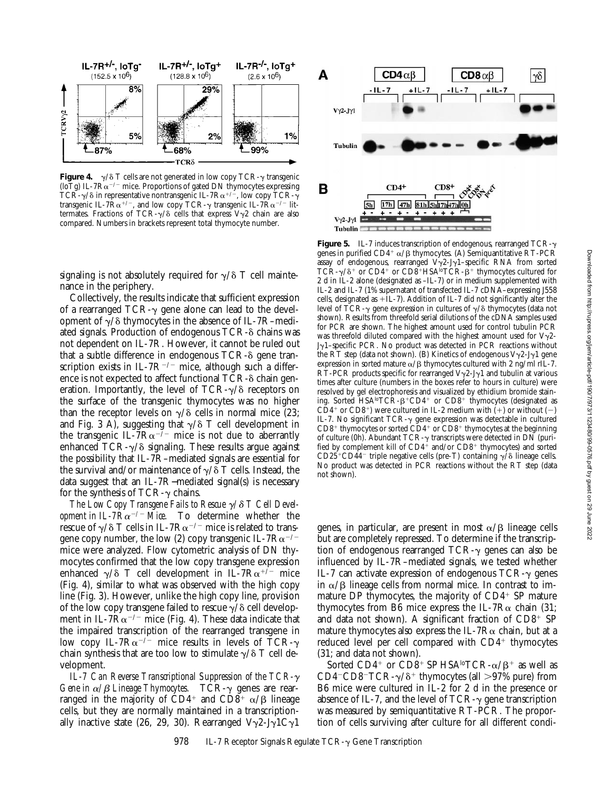

**Figure 4.**  $\gamma/\delta$  T cells are not generated in low copy TCR- $\gamma$  transgenic (loTg) IL-7 $R\alpha^{-/-}$  mice. Proportions of gated DN thymocytes expressing TCR- $\gamma$ / $\delta$  in representative nontransgenic IL-7R $\alpha^{+/-}$ , low copy TCR- $\gamma$ transgenic IL-7Ra+/-, and low copy TCR- $\gamma$  transgenic IL-7Ra+/- littermates. Fractions of TCR- $\gamma$ / $\delta$  cells that express V $\gamma$ 2 chain are also compared. Numbers in brackets represent total thymocyte number.

signaling is not absolutely required for  $\gamma/\delta$  T cell maintenance in the periphery.

Collectively, the results indicate that sufficient expression of a rearranged  $TCR-\gamma$  gene alone can lead to the development of  $\gamma/\delta$  thymocytes in the absence of IL-7R–mediated signals. Production of endogenous  $TCR-\delta$  chains was not dependent on IL-7R. However, it cannot be ruled out that a subtle difference in endogenous  $TCR-\delta$  gene transcription exists in IL-7 $R^{-/-}$  mice, although such a difference is not expected to affect functional  $TCR-\delta$  chain generation. Importantly, the level of  $TCR-\gamma/\delta$  receptors on the surface of the transgenic thymocytes was no higher than the receptor levels on  $\gamma/\delta$  cells in normal mice (23; and Fig. 3 A), suggesting that  $\gamma/\delta$  T cell development in the transgenic IL-7R $\alpha^{-7}$  mice is not due to aberrantly enhanced  $TCR-\gamma/\delta$  signaling. These results argue against the possibility that IL-7R–mediated signals are essential for the survival and/or maintenance of  $\gamma/\delta$  T cells. Instead, the data suggest that an IL-7R−mediated signal(s) is necessary for the synthesis of TCR- $\gamma$  chains.

*The Low Copy Transgene Fails to Rescue*  $\gamma/\delta$  *T Cell Development in IL-7R* $\alpha$ *<sup>-/-</sup> Mice.* To determine whether the rescue of  $\gamma/\delta$  T cells in IL-7R $\alpha^{-/-}$  mice is related to transgene copy number, the low (2) copy transgenic IL-7 $Ra^{-/-}$ mice were analyzed. Flow cytometric analysis of DN thymocytes confirmed that the low copy transgene expression enhanced  $\gamma/\delta$  T cell development in IL-7R $\alpha^{+\bar{i}-}$  mice (Fig. 4), similar to what was observed with the high copy line (Fig. 3). However, unlike the high copy line, provision of the low copy transgene failed to rescue  $\gamma/\delta$  cell development in IL-7 $\overline{R}\alpha^{-/-}$  mice (Fig. 4). These data indicate that the impaired transcription of the rearranged transgene in low copy IL-7R $\alpha^{-/-}$  mice results in levels of TCR- $\gamma$ chain synthesis that are too low to stimulate  $\gamma/\delta$  T cell development.

*IL-7 Can Reverse Transcriptional Suppression of the TCR-*<sup>g</sup> *Gene in*  $\alpha/\beta$  *Lineage Thymocytes.* TCR- $\gamma$  genes are rearranged in the majority of CD4<sup>+</sup> and CD8<sup>+</sup>  $\alpha$ / $\beta$  lineage cells, but they are normally maintained in a transcriptionally inactive state (26, 29, 30). Rearranged  $V\gamma^2$ -J $\gamma^1C\gamma^1$ 



**Figure 5.** IL-7 induces transcription of endogenous, rearranged TCR-g genes in purified CD4<sup>+</sup>  $\alpha$ / $\beta$  thymocytes. (A) Semiquantitative RT-PCR assay of endogenous, rearranged  $V\gamma$ 2-J $\gamma$ 1-specific RNA from sorted  $TCR-\gamma/\delta^+$  or  $CD4^+$  or  $CD8^+$  HSA<sup>lo</sup>TCR- $\beta^+$  thymocytes cultured for 2 d in IL-2 alone (designated as –IL-7) or in medium supplemented with IL-2 and IL-7 (1% supernatant of transfected IL-7 cDNA–expressing J558 cells, designated as  $+$ IL-7). Addition of IL-7 did not significantly alter the level of TCR- $\gamma$  gene expression in cultures of  $\gamma/\delta$  thymocytes (data not shown). Results from threefold serial dilutions of the cDNA samples used for PCR are shown. The highest amount used for control tubulin PCR was threefold diluted compared with the highest amount used for  $V\gamma$ 2-Jg1–specific PCR. No product was detected in PCR reactions without the RT step (data not shown). (B) Kinetics of endogenous  $V\gamma2-J\gamma1$  gene expression in sorted mature  $\alpha/\beta$  thymocytes cultured with 2 ng/ml rIL-7. RT-PCR products specific for rearranged  $V\gamma2$ -J $\gamma1$  and tubulin at various times after culture (numbers in the boxes refer to hours in culture) were resolved by gel electrophoresis and visualized by ethidium bromide staining. Sorted HSA<sup>lo</sup>TCR- $\beta$ <sup>+</sup>CD4<sup>+</sup> or CD8<sup>+</sup> thymocytes (designated as  $CD4^+$  or  $CD8^+$ ) were cultured in IL-2 medium with  $(+)$  or without  $(-)$ IL-7. No significant  $TCR-\gamma$  gene expression was detectable in cultured  $CD8^+$  thymocytes or sorted  $CD4^+$  or  $CD8^+$  thymocytes at the beginning of culture (0h). Abundant TCR-g transcripts were detected in DN (purified by complement kill of  $CD4^+$  and/or  $CD8^+$  thymocytes) and sorted CD25<sup>+</sup>CD44<sup>-</sup> triple negative cells (pre-T) containing  $\gamma$ / $\delta$  lineage cells. No product was detected in PCR reactions without the RT step (data not shown).

genes, in particular, are present in most  $\alpha/\beta$  lineage cells but are completely repressed. To determine if the transcription of endogenous rearranged  $TCR-\gamma$  genes can also be influenced by IL-7R–mediated signals, we tested whether IL-7 can activate expression of endogenous  $TCR-\gamma$  genes in  $\alpha/\beta$  lineage cells from normal mice. In contrast to immature DP thymocytes, the majority of  $CD4<sup>+</sup>$  SP mature thymocytes from B6 mice express the IL-7 $R\alpha$  chain (31; and data not shown). A significant fraction of  $CD8^+$  SP mature thymocytes also express the IL-7R $\alpha$  chain, but at a reduced level per cell compared with  $CD4^+$  thymocytes (31; and data not shown).

Sorted CD4<sup>+</sup> or CD8<sup>+</sup> SP HSA<sup>lo</sup>TCR- $\alpha/\beta$ <sup>+</sup> as well as CD4<sup>-</sup>CD8<sup>-</sup>TCR- $\gamma$ / $\delta$ <sup>+</sup> thymocytes (all >97% pure) from B6 mice were cultured in IL-2 for 2 d in the presence or absence of IL-7, and the level of  $TCR-\gamma$  gene transcription was measured by semiquantitative RT-PCR. The proportion of cells surviving after culture for all different condi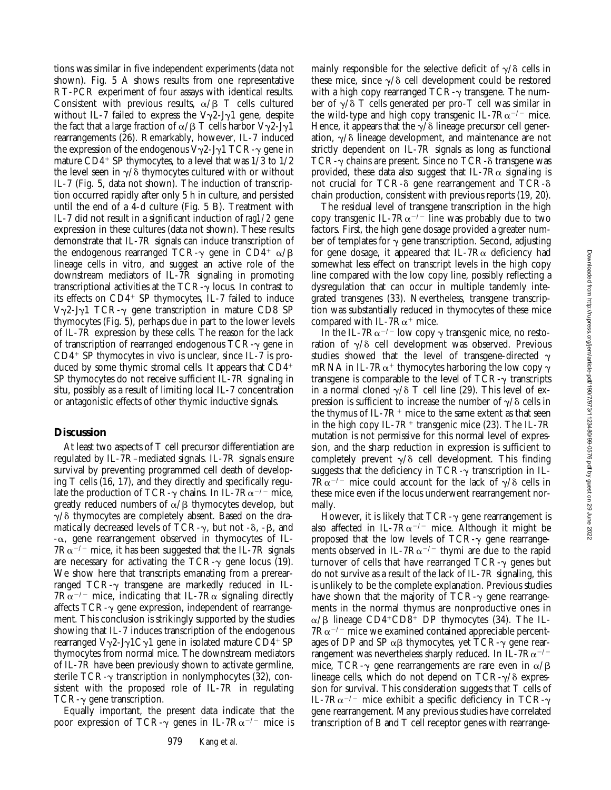tions was similar in five independent experiments (data not shown). Fig. 5 A shows results from one representative RT-PCR experiment of four assays with identical results. Consistent with previous results,  $\alpha/\beta$  T cells cultured without IL-7 failed to express the  $V\gamma^2$ -J $\gamma$ 1 gene, despite the fact that a large fraction of  $\alpha/\beta$  T cells harbor  $V\gamma2-J\gamma1$ rearrangements (26). Remarkably, however, IL-7 induced the expression of the endogenous  $V\gamma^2$ -J $\gamma$ 1 TCR- $\gamma$  gene in mature  $CD4^+$  SP thymocytes, to a level that was  $1/3$  to  $1/2$ the level seen in  $\gamma/\delta$  thymocytes cultured with or without IL-7 (Fig. 5, data not shown). The induction of transcription occurred rapidly after only 5 h in culture, and persisted until the end of a 4-d culture (Fig. 5 B). Treatment with IL-7 did not result in a significant induction of *rag1/2* gene expression in these cultures (data not shown). These results demonstrate that IL-7R signals can induce transcription of the endogenous rearranged TCR- $\gamma$  gene in CD4<sup>+</sup>  $\alpha$ / $\beta$ lineage cells in vitro, and suggest an active role of the downstream mediators of IL-7R signaling in promoting transcriptional activities at the  $TCR-\gamma$  locus. In contrast to its effects on  $CD4^+$  SP thymocytes, IL-7 failed to induce  $V\gamma$ 2-J $\gamma$ 1 TCR- $\gamma$  gene transcription in mature CD8 SP thymocytes (Fig. 5), perhaps due in part to the lower levels of IL-7R expression by these cells. The reason for the lack of transcription of rearranged endogenous  $TCR-\gamma$  gene in  $CD4$ <sup>+</sup> SP thymocytes in vivo is unclear, since IL-7 is produced by some thymic stromal cells. It appears that  $CD4<sup>+</sup>$ SP thymocytes do not receive sufficient IL-7R signaling in situ, possibly as a result of limiting local IL-7 concentration or antagonistic effects of other thymic inductive signals.

# **Discussion**

At least two aspects of T cell precursor differentiation are regulated by IL-7R–mediated signals. IL-7R signals ensure survival by preventing programmed cell death of developing T cells (16, 17), and they directly and specifically regulate the production of TCR- $\gamma$  chains. In IL-7R $\alpha^{-/-}$  mice, greatly reduced numbers of  $\alpha/\beta$  thymocytes develop, but  $\gamma/\delta$  thymocytes are completely absent. Based on the dramatically decreased levels of TCR- $\gamma$ , but not - $\delta$ , - $\beta$ , and  $-\alpha$ , gene rearrangement observed in thymocytes of IL- $7R\alpha^{-/-}$  mice, it has been suggested that the IL-7R signals are necessary for activating the  $TCR-\gamma$  gene locus (19). We show here that transcripts emanating from a prerearranged  $TCR-\gamma$  transgene are markedly reduced in IL- $7R\alpha^{-/-}$  mice, indicating that IL-7R $\alpha$  signaling directly affects  $TCR-\gamma$  gene expression, independent of rearrangement. This conclusion is strikingly supported by the studies showing that IL-7 induces transcription of the endogenous rearranged  $V\gamma$ 2-J $\gamma$ 1C $\gamma$ 1 gene in isolated mature CD4+SP thymocytes from normal mice. The downstream mediators of IL-7R have been previously shown to activate germline, sterile  $TCR-\gamma$  transcription in nonlymphocytes (32), consistent with the proposed role of IL-7R in regulating  $TCR-\gamma$  gene transcription.

Equally important, the present data indicate that the poor expression of TCR- $\gamma$  genes in IL-7R $\alpha^{-/-}$  mice is mainly responsible for the selective deficit of  $\gamma/\delta$  cells in these mice, since  $\gamma/\delta$  cell development could be restored with a high copy rearranged  $TCR-\gamma$  transgene. The number of  $\gamma/\delta$  T cells generated per pro-T cell was similar in the wild-type and high copy transgenic IL-7 $Ra^{-/-}$  mice. Hence, it appears that the  $\gamma/\delta$  lineage precursor cell generation,  $\gamma/\delta$  lineage development, and maintenance are not strictly dependent on IL-7R signals as long as functional TCR- $\gamma$  chains are present. Since no TCR- $\delta$  transgene was provided, these data also suggest that IL-7 $R\alpha$  signaling is not crucial for TCR- $\delta$  gene rearrangement and TCR- $\delta$ chain production, consistent with previous reports (19, 20).

The residual level of transgene transcription in the high copy transgenic IL-7 $R\alpha^{-/-}$  line was probably due to two factors. First, the high gene dosage provided a greater number of templates for  $\gamma$  gene transcription. Second, adjusting for gene dosage, it appeared that IL-7 $R\alpha$  deficiency had somewhat less effect on transcript levels in the high copy line compared with the low copy line, possibly reflecting a dysregulation that can occur in multiple tandemly integrated transgenes (33). Nevertheless, transgene transcription was substantially reduced in thymocytes of these mice compared with IL-7 $R\alpha^+$  mice.

In the IL-7 $R\alpha^{-/-}$  low copy  $\gamma$  transgenic mice, no restoration of  $\gamma/\delta$  cell development was observed. Previous studies showed that the level of transgene-directed  $\gamma$ mRNA in IL-7R $\alpha^+$  thymocytes harboring the low copy  $\gamma$ transgene is comparable to the level of  $TCR-\gamma$  transcripts in a normal cloned  $\gamma/\delta$  T cell line (29). This level of expression is sufficient to increase the number of  $\gamma/\delta$  cells in the thymus of IL-7 $R^+$  mice to the same extent as that seen in the high copy IL-7 $R^+$  transgenic mice (23). The IL-7 $R$ mutation is not permissive for this normal level of expression, and the sharp reduction in expression is sufficient to completely prevent  $\gamma/\delta$  cell development. This finding suggests that the deficiency in  $TCR-\gamma$  transcription in IL- $7R\alpha^{-/-}$  mice could account for the lack of  $\gamma/\delta$  cells in these mice even if the locus underwent rearrangement normally.

However, it is likely that  $TCR-\gamma$  gene rearrangement is also affected in IL-7 $R\alpha^{-/-}$  mice. Although it might be proposed that the low levels of  $TCR-\gamma$  gene rearrangements observed in IL-7 $R\alpha^{-/-}$  thymi are due to the rapid turnover of cells that have rearranged  $TCR-\gamma$  genes but do not survive as a result of the lack of IL-7R signaling, this is unlikely to be the complete explanation. Previous studies have shown that the majority of  $TCR-\gamma$  gene rearrangements in the normal thymus are nonproductive ones in  $\alpha$ / $\beta$  lineage CD4+CD8+ DP thymocytes (34). The IL- $7R\alpha^{-/-}$  mice we examined contained appreciable percentages of DP and SP  $\alpha\beta$  thymocytes, yet TCR- $\gamma$  gene rearrangement was nevertheless sharply reduced. In IL-7 $R\alpha^{-/-}$ mice, TCR- $\gamma$  gene rearrangements are rare even in  $\alpha/\beta$ lineage cells, which do not depend on  $TCR-\gamma/\delta$  expression for survival. This consideration suggests that T cells of IL-7R $\alpha$ <sup>-/-</sup> mice exhibit a specific deficiency in TCR- $\gamma$ gene rearrangement. Many previous studies have correlated transcription of B and T cell receptor genes with rearrange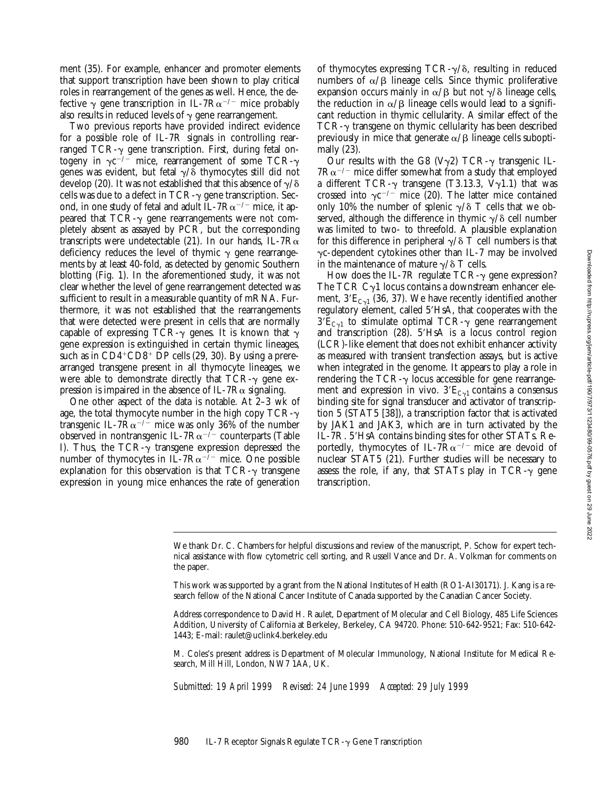ment (35). For example, enhancer and promoter elements that support transcription have been shown to play critical roles in rearrangement of the genes as well. Hence, the defective  $\gamma$  gene transcription in IL-7R $\alpha^{-/-}$  mice probably also results in reduced levels of  $\gamma$  gene rearrangement.

Two previous reports have provided indirect evidence for a possible role of IL-7R signals in controlling rearranged  $TCR-\gamma$  gene transcription. First, during fetal ontogeny in  $\gamma c^{-/-}$  mice, rearrangement of some TCR- $\gamma$ genes was evident, but fetal  $\gamma/\delta$  thymocytes still did not develop (20). It was not established that this absence of  $\gamma/\delta$ cells was due to a defect in TCR- $\gamma$  gene transcription. Second, in one study of fetal and adult IL-7 $R\alpha^{-/-}$  mice, it appeared that  $TCR-\gamma$  gene rearrangements were not completely absent as assayed by PCR, but the corresponding transcripts were undetectable (21). In our hands, IL-7 $R\alpha$ deficiency reduces the level of thymic  $\gamma$  gene rearrangements by at least 40-fold, as detected by genomic Southern blotting (Fig. 1). In the aforementioned study, it was not clear whether the level of gene rearrangement detected was sufficient to result in a measurable quantity of mRNA. Furthermore, it was not established that the rearrangements that were detected were present in cells that are normally capable of expressing TCR- $\gamma$  genes. It is known that  $\gamma$ gene expression is extinguished in certain thymic lineages, such as in  $CD4+CD8+DP$  cells (29, 30). By using a prerearranged transgene present in all thymocyte lineages, we were able to demonstrate directly that  $TCR-\gamma$  gene expression is impaired in the absence of IL-7 $R\alpha$  signaling.

One other aspect of the data is notable. At 2–3 wk of age, the total thymocyte number in the high copy  $TCR-\gamma$ transgenic IL-7 $R\alpha^{-/-}$  mice was only 36% of the number observed in nontransgenic IL-7 $R\alpha^{-/-}$  counterparts (Table I). Thus, the TCR- $\gamma$  transgene expression depressed the number of thymocytes in IL-7 $R\alpha^{-/-}$  mice. One possible explanation for this observation is that  $TCR-\gamma$  transgene expression in young mice enhances the rate of generation

of thymocytes expressing  $TCR-\gamma/\delta$ , resulting in reduced numbers of  $\alpha/\beta$  lineage cells. Since thymic proliferative expansion occurs mainly in  $\alpha/\beta$  but not  $\gamma/\delta$  lineage cells, the reduction in  $\alpha/\beta$  lineage cells would lead to a significant reduction in thymic cellularity. A similar effect of the  $TCR-\gamma$  transgene on thymic cellularity has been described previously in mice that generate  $\alpha/\beta$  lineage cells suboptimally (23).

Our results with the G8 (V $\gamma$ 2) TCR- $\gamma$  transgenic IL- $7R\alpha^{-/-}$  mice differ somewhat from a study that employed a different TCR- $\gamma$  transgene (T3.13.3, V $\gamma$ 1.1) that was crossed into  $\gamma c^{-/-}$  mice (20). The latter mice contained only 10% the number of splenic  $\gamma/\delta$  T cells that we observed, although the difference in thymic  $\gamma/\delta$  cell number was limited to two- to threefold. A plausible explanation for this difference in peripheral  $\gamma/\delta$  T cell numbers is that  $\gamma$ c-dependent cytokines other than IL-7 may be involved in the maintenance of mature  $\gamma/\delta$  T cells.

How does the IL-7R regulate  $TCR-\gamma$  gene expression? The TCR  $C_{\gamma}1$  locus contains a downstream enhancer element,  $3'E_{Cyl}$  (36, 37). We have recently identified another regulatory element, called 5'HsA, that cooperates with the  $3'E<sub>Cv1</sub>$  to stimulate optimal TCR- $\gamma$  gene rearrangement and transcription  $(28)$ .  $5'HsA$  is a locus control region (LCR)-like element that does not exhibit enhancer activity as measured with transient transfection assays, but is active when integrated in the genome. It appears to play a role in rendering the  $TCR-\gamma$  locus accessible for gene rearrangement and expression in vivo.  $3'E<sub>Cyl</sub>$  contains a consensus binding site for signal transducer and activator of transcription 5 (STAT5 [38]), a transcription factor that is activated by JAK1 and JAK3, which are in turn activated by the IL-7R. 5'HsA contains binding sites for other STATs. Reportedly, thymocytes of IL-7 $R\alpha^{-/-}$  mice are devoid of nuclear STAT5 (21). Further studies will be necessary to assess the role, if any, that STATs play in  $TCR-\gamma$  gene transcription.

*Submitted: 19 April 1999 Revised: 24 June 1999 Accepted: 29 July 1999*

We thank Dr. C. Chambers for helpful discussions and review of the manuscript, P. Schow for expert technical assistance with flow cytometric cell sorting, and Russell Vance and Dr. A. Volkman for comments on the paper.

This work was supported by a grant from the National Institutes of Health (RO1-AI30171). J. Kang is a research fellow of the National Cancer Institute of Canada supported by the Canadian Cancer Society.

Address correspondence to David H. Raulet, Department of Molecular and Cell Biology, 485 Life Sciences Addition, University of California at Berkeley, Berkeley, CA 94720. Phone: 510-642-9521; Fax: 510-642- 1443; E-mail: raulet@uclink4.berkeley.edu

M. Coles's present address is Department of Molecular Immunology, National Institute for Medical Research, Mill Hill, London, NW7 1AA, UK.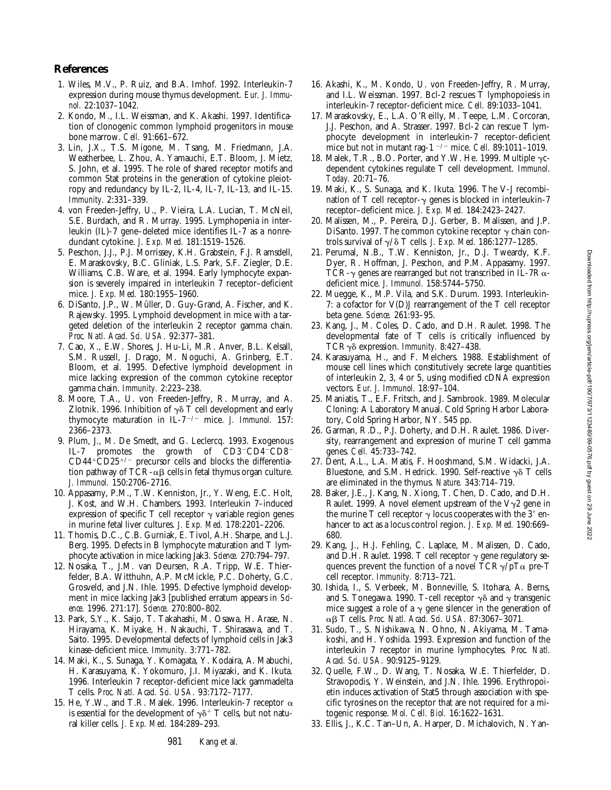## **References**

- 1. Wiles, M.V., P. Ruiz, and B.A. Imhof. 1992. Interleukin-7 expression during mouse thymus development. *Eur. J. Immunol.* 22:1037–1042.
- 2. Kondo, M., I.L. Weissman, and K. Akashi. 1997. Identification of clonogenic common lymphoid progenitors in mouse bone marrow. *Cell.* 91:661–672.
- 3. Lin, J.X., T.S. Migone, M. Tsang, M. Friedmann, J.A. Weatherbee, L. Zhou, A. Yamauchi, E.T. Bloom, J. Mietz, S. John, et al. 1995. The role of shared receptor motifs and common Stat proteins in the generation of cytokine pleiotropy and redundancy by IL-2, IL-4, IL-7, IL-13, and IL-15. *Immunity.* 2:331–339.
- 4. von Freeden-Jeffry, U., P. Vieira, L.A. Lucian, T. McNeil, S.E. Burdach, and R. Murray. 1995. Lymphopenia in interleukin (IL)-7 gene–deleted mice identifies IL-7 as a nonredundant cytokine. *J. Exp. Med.* 181:1519–1526.
- 5. Peschon, J.J., P.J. Morrissey, K.H. Grabstein, F.J. Ramsdell, E. Maraskovsky, B.C. Gliniak, L.S. Park, S.F. Ziegler, D.E. Williams, C.B. Ware, et al. 1994. Early lymphocyte expansion is severely impaired in interleukin 7 receptor–deficient mice. *J. Exp. Med.* 180:1955–1960.
- 6. DiSanto, J.P., W. Müller, D. Guy-Grand, A. Fischer, and K. Rajewsky. 1995. Lymphoid development in mice with a targeted deletion of the interleukin 2 receptor gamma chain. *Proc. Natl. Acad. Sci. USA.* 92:377–381.
- 7. Cao, X., E.W. Shores, J. Hu-Li, M.R. Anver, B.L. Kelsall, S.M. Russell, J. Drago, M. Noguchi, A. Grinberg, E.T. Bloom, et al. 1995. Defective lymphoid development in mice lacking expression of the common cytokine receptor gamma chain. *Immunity.* 2:223–238.
- 8. Moore, T.A., U. von Freeden-Jeffry, R. Murray, and A. Zlotnik. 1996. Inhibition of  $\gamma\delta$  T cell development and early thymocyte maturation in IL- $7^{-/-}$  mice. *J. Immunol.* 157: 2366–2373.
- 9. Plum, J., M. De Smedt, and G. Leclercq. 1993. Exogenous IL-7 promotes the growth of  $CD3$ <sup>-</sup> $CD4$ <sup>- $CD8$ </sup><sup>-</sup>  $CD44+CD25+/-$  precursor cells and blocks the differentiation pathway of TCR- $\alpha\beta$  cells in fetal thymus organ culture. *J. Immunol.* 150:2706–2716.
- 10. Appasamy, P.M., T.W. Kenniston, Jr., Y. Weng, E.C. Holt, J. Kost, and W.H. Chambers. 1993. Interleukin 7–induced expression of specific T cell receptor  $\gamma$  variable region genes in murine fetal liver cultures. *J. Exp. Med.* 178:2201–2206.
- 11. Thomis, D.C., C.B. Gurniak, E. Tivol, A.H. Sharpe, and L.J. Berg. 1995. Defects in B lymphocyte maturation and T lymphocyte activation in mice lacking Jak3. *Science.* 270:794–797.
- 12. Nosaka, T., J.M. van Deursen, R.A. Tripp, W.E. Thierfelder, B.A. Witthuhn, A.P. McMickle, P.C. Doherty, G.C. Grosveld, and J.N. Ihle. 1995. Defective lymphoid development in mice lacking Jak3 [published erratum appears in *Science.* 1996. 271:17]. *Science.* 270:800–802.
- 13. Park, S.Y., K. Saijo, T. Takahashi, M. Osawa, H. Arase, N. Hirayama, K. Miyake, H. Nakauchi, T. Shirasawa, and T. Saito. 1995. Developmental defects of lymphoid cells in Jak3 kinase-deficient mice. *Immunity.* 3:771–782.
- 14. Maki, K., S. Sunaga, Y. Komagata, Y. Kodaira, A. Mabuchi, H. Karasuyama, K. Yokomuro, J.I. Miyazaki, and K. Ikuta. 1996. Interleukin 7 receptor-deficient mice lack gammadelta T cells. *Proc. Natl. Acad. Sci. USA.* 93:7172–7177.
- 15. He, Y.W., and T.R. Malek. 1996. Interleukin-7 receptor  $\alpha$ is essential for the development of  $\gamma\delta^+$  T cells, but not natural killer cells. *J. Exp. Med.* 184:289–293.
- 16. Akashi, K., M. Kondo, U. von Freeden-Jeffry, R. Murray, and I.L. Weissman. 1997. Bcl-2 rescues T lymphopoiesis in interleukin-7 receptor-deficient mice. *Cell.* 89:1033–1041.
- 17. Maraskovsky, E., L.A. O'Reilly, M. Teepe, L.M. Corcoran, J.J. Peschon, and A. Strasser. 1997. Bcl-2 can rescue T lymphocyte development in interleukin-7 receptor-deficient mice but not in mutant rag-1<sup>-/-</sup> mice. *Cell.* 89:1011-1019.
- 18. Malek, T.R., B.O. Porter, and Y.W. He. 1999. Multiple  $\gamma$ cdependent cytokines regulate T cell development. *Immunol. Today.* 20:71–76.
- 19. Maki, K., S. Sunaga, and K. Ikuta. 1996. The V-J recombination of T cell receptor- $\gamma$  genes is blocked in interleukin-7 receptor–deficient mice. *J. Exp. Med.* 184:2423–2427.
- 20. Malissen, M., P. Pereira, D.J. Gerber, B. Malissen, and J.P. DiSanto. 1997. The common cytokine receptor  $\gamma$  chain controls survival of  $\gamma/\delta$  T cells. *J. Exp. Med.* 186:1277-1285.
- 21. Perumal, N.B., T.W. Kenniston, Jr., D.J. Tweardy, K.F. Dyer, R. Hoffman, J. Peschon, and P.M. Appasamy. 1997. TCR- $\gamma$  genes are rearranged but not transcribed in IL-7R $\alpha$ deficient mice. *J. Immunol.* 158:5744–5750.
- 22. Muegge, K., M.P. Vila, and S.K. Durum. 1993. Interleukin-7: a cofactor for V(D)J rearrangement of the T cell receptor beta gene. *Science.* 261:93–95.
- 23. Kang, J., M. Coles, D. Cado, and D.H. Raulet. 1998. The developmental fate of T cells is critically influenced by TCRgd expression. *Immunity.* 8:427–438.
- 24. Karasuyama, H., and F. Melchers. 1988. Establishment of mouse cell lines which constitutively secrete large quantities of interleukin 2, 3, 4 or 5, using modified cDNA expression vectors. *Eur. J. Immunol.* 18:97–104.
- 25. Maniatis, T., E.F. Fritsch, and J. Sambrook. 1989. Molecular Cloning: A Laboratory Manual. Cold Spring Harbor Laboratory, Cold Spring Harbor, NY. 545 pp.
- 26. Garman, R.D., P.J. Doherty, and D.H. Raulet. 1986. Diversity, rearrangement and expression of murine T cell gamma genes. *Cell.* 45:733–742.
- 27. Dent, A.L., L.A. Matis, F. Hooshmand, S.M. Widacki, J.A. Bluestone, and S.M. Hedrick. 1990. Self-reactive  $\gamma \delta$  T cells are eliminated in the thymus. *Nature.* 343:714–719.
- 28. Baker, J.E., J. Kang, N. Xiong, T. Chen, D. Cado, and D.H. Raulet. 1999. A novel element upstream of the  $V\gamma2$  gene in the murine T cell receptor  $\gamma$  locus cooperates with the 3' enhancer to act as a locus control region. *J. Exp. Med.* 190:669– 680.
- 29. Kang, J., H.J. Fehling, C. Laplace, M. Malissen, D. Cado, and D.H. Raulet. 1998. T cell receptor  $\gamma$  gene regulatory sequences prevent the function of a novel  $TCR\gamma/pT\alpha$  pre-T cell receptor. *Immunity.* 8:713–721.
- 30. Ishida, I., S. Verbeek, M. Bonneville, S. Itohara, A. Berns, and S. Tonegawa. 1990. T-cell receptor  $\gamma\delta$  and  $\gamma$  transgenic mice suggest a role of a  $\gamma$  gene silencer in the generation of ab T cells. *Proc. Natl. Acad. Sci. USA.* 87:3067–3071.
- 31. Sudo, T., S. Nishikawa, N. Ohno, N. Akiyama, M. Tamakoshi, and H. Yoshida. 1993. Expression and function of the interleukin 7 receptor in murine lymphocytes. *Proc. Natl. Acad. Sci. USA.* 90:9125–9129.
- 32. Quelle, F.W., D. Wang, T. Nosaka, W.E. Thierfelder, D. Stravopodis, Y. Weinstein, and J.N. Ihle. 1996. Erythropoietin induces activation of Stat5 through association with specific tyrosines on the receptor that are not required for a mitogenic response. *Mol. Cell. Biol.* 16:1622–1631.
- 33. Ellis, J., K.C. Tan–Un, A. Harper, D. Michalovich, N. Yan-